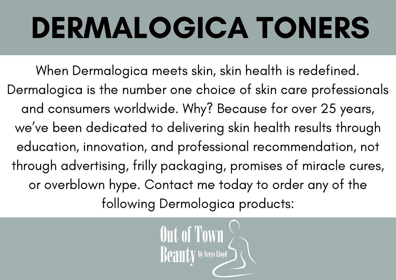# DERMALOGICA TONERS

[Wh](http://www.outoftownbeauty.co.uk/dermologica-shaving.html)en Dermalogica meets skin, skin health is redefined. Dermalogica is the number one choice of skin care professionals and consumers worldwide. Why? Because for over 25 years, we ' ve been dedicated to delivering skin health results through education, innovation, and professional [recommendation,](http://www.outoftownbeauty.co.uk/dermologica-shaving.html) not through advertising, frilly packaging, promises of miracle cures, or overblown hype. Contact me today to order any of the following Dermologica products:

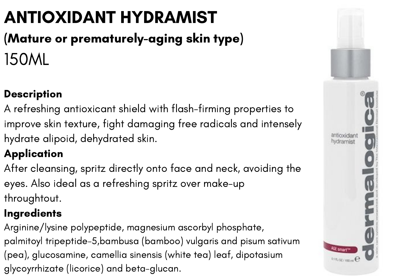## ANTIOXIDANT HYDRAMIST

### (Mature or prematurely-aging skin type) 150ML

#### **Description**

A refreshing antioxicant shield with flash-firming properties to improve skin texture, fight damaging free radicals and intensely hydrate alipoid, dehydrated skin.

#### **Application**

After cleansing, spritz directly onto face and neck, avoiding the eyes. Also ideal as a refreshing spritz over make-up throughtout.

#### Ingredients

Arginine/lysine polypeptide, magnesium ascorbyl phosphate, palmitoyl tripeptide-5,bambusa (bamboo) vulgaris and pisum sativum (pea), glucosamine, camellia sinensis (white tea) leaf, dipotasium glycoyrrhizate (licorice) and beta-glucan.